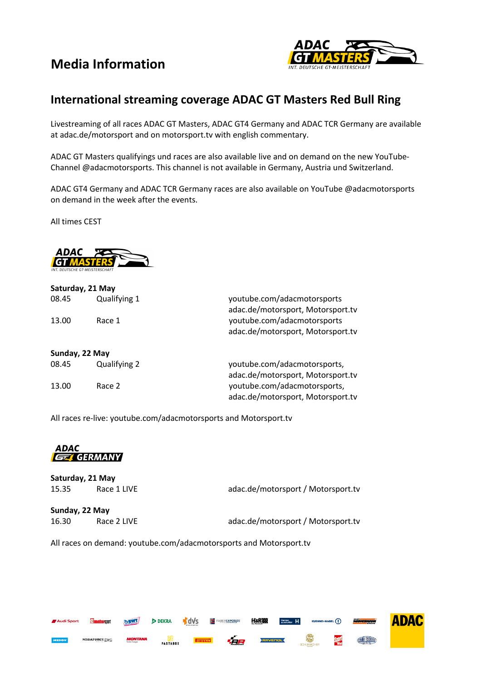## **Media Information**



## **International streaming coverage ADAC GT Masters Red Bull Ring**

Livestreaming of all races ADAC GT Masters, ADAC GT4 Germany and ADAC TCR Germany are available at adac.de/motorsport and on motorsport.tv with english commentary.

ADAC GT Masters qualifyings und races are also available live and on demand on the new YouTube-Channel @adacmotorsports. This channel is not available in Germany, Austria und Switzerland.

ADAC GT4 Germany and ADAC TCR Germany races are also available on YouTube @adacmotorsports on demand in the week after the events.

All times CEST



|                | Saturday, 21 May |                                                                  |
|----------------|------------------|------------------------------------------------------------------|
| 08.45<br>13.00 | Qualifying 1     | youtube.com/adacmotorsports<br>adac.de/motorsport, Motorsport.tv |
|                | Race 1           | youtube.com/adacmotorsports<br>adac.de/motorsport, Motorsport.tv |
| Sunday, 22 May |                  |                                                                  |
| 08.45          | Qualifying 2     | youtube.com/adacmotorsports,                                     |
|                |                  | adac.de/motorsport, Motorsport.tv                                |
| 13.00          | Race 2           | youtube.com/adacmotorsports,                                     |
|                |                  | adac.de/motorsport, Motorsport.tv                                |

All races re-live: youtube.com/adacmotorsports and Motorsport.tv

**ADAC GET GERMANY** 

|                | Saturday, 21 May |                                    |
|----------------|------------------|------------------------------------|
| 15.35          | Race 1 LIVE      | adac.de/motorsport / Motorsport.tv |
| Sunday, 22 May |                  |                                    |
| 16.30          | Race 2 LIVE      | adac.de/motorsport / Motorsport.tv |

All races on demand: youtube.com/adacmotorsports and Motorsport.tv